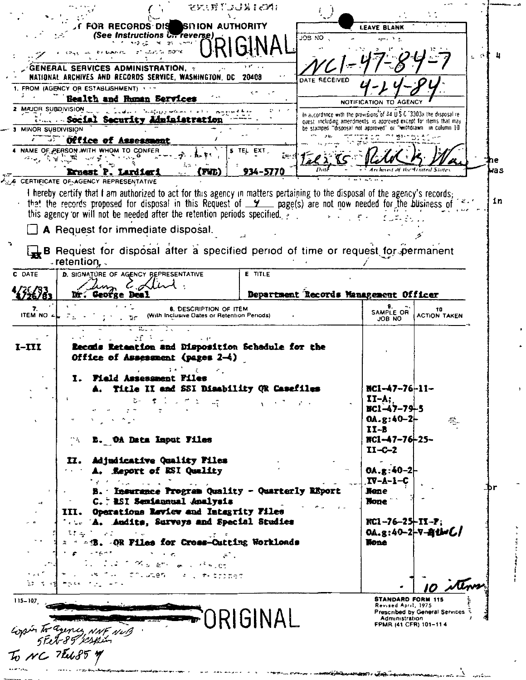|                        |                                                                                                                                                                                                      | そともだささるもとれる                                                                  |                                                                      |               |                                                                                                                                   |                                         |
|------------------------|------------------------------------------------------------------------------------------------------------------------------------------------------------------------------------------------------|------------------------------------------------------------------------------|----------------------------------------------------------------------|---------------|-----------------------------------------------------------------------------------------------------------------------------------|-----------------------------------------|
|                        | FOR RECORDS DIS SITION AUTHORITY                                                                                                                                                                     |                                                                              |                                                                      |               | <b>LEAVE BLANK</b>                                                                                                                |                                         |
|                        | (See Instructions Unreverse)<br>$2^{\circ}$                                                                                                                                                          |                                                                              |                                                                      | JOB NO        |                                                                                                                                   |                                         |
|                        | alar Gol 50°N                                                                                                                                                                                        |                                                                              |                                                                      |               |                                                                                                                                   |                                         |
|                        | <b>GENERAL SERVICES ADMINISTRATION, :</b>                                                                                                                                                            |                                                                              |                                                                      |               |                                                                                                                                   |                                         |
|                        | NATIONAL ARCHIVES AND RECORDS SERVICE, WASHINGTON, DC<br>1. FROM (AGENCY OR ESTABLISHMENT) ***                                                                                                       |                                                                              | 20408                                                                | DATE RECEIVED |                                                                                                                                   |                                         |
|                        | Bealth and Ruman Services                                                                                                                                                                            |                                                                              |                                                                      |               | NOTIFICATION TO AGEN                                                                                                              |                                         |
|                        | 2 MAJOR SUBDIVISION                                                                                                                                                                                  |                                                                              |                                                                      |               | In accordance with the provisions of 44 U.S.C. 3303a the disposal re-                                                             |                                         |
| MINOR SUBDIVISION      | Nessee Social Security Administration                                                                                                                                                                |                                                                              |                                                                      |               | quest including amendments is approved except for items that may<br>be stamped "disposal not approved" or "withdrawn in column 10 |                                         |
|                        | <b>We Office of Assessment</b>                                                                                                                                                                       |                                                                              |                                                                      |               |                                                                                                                                   |                                         |
| ^ે કુરી સા             | NAME OF PERSON WITH WHOM TO CONFER<br><b>Sales Pre</b>                                                                                                                                               |                                                                              | <b>5 TEL EXT,</b>                                                    |               |                                                                                                                                   |                                         |
|                        | Ernast P. Lardieri                                                                                                                                                                                   | Fil                                                                          | 934-5770                                                             |               |                                                                                                                                   |                                         |
|                        | <b>6 CERTIFICATE OF AGENCY REPRESENTATIVE</b>                                                                                                                                                        |                                                                              |                                                                      |               |                                                                                                                                   |                                         |
|                        | I hereby certify that I am authorized to act for this agency in matters pertaining to the disposal of the agency's records;                                                                          |                                                                              |                                                                      |               |                                                                                                                                   |                                         |
|                        | that the records proposed for disposal in this Request of $\underline{y}$ page(s) are not now needed for the business of<br>this agency or will not be needed after the retention periods specified. |                                                                              |                                                                      |               |                                                                                                                                   |                                         |
|                        | A Request for immediate disposal.                                                                                                                                                                    |                                                                              |                                                                      |               |                                                                                                                                   |                                         |
|                        |                                                                                                                                                                                                      |                                                                              |                                                                      |               |                                                                                                                                   |                                         |
|                        | B Request for disposal after a specified period of time or request for permanent                                                                                                                     |                                                                              |                                                                      |               |                                                                                                                                   |                                         |
| C DATE                 | $\sqrt{r}$ retention, $\sqrt{r}$<br>D. SIGNATURE OF AGENCY BEPRESENTATIVE                                                                                                                            |                                                                              | <b>E</b> TITLE                                                       |               |                                                                                                                                   |                                         |
|                        |                                                                                                                                                                                                      |                                                                              |                                                                      |               |                                                                                                                                   |                                         |
|                        | Dr. George Deal                                                                                                                                                                                      |                                                                              |                                                                      |               | Department Records Management Officer                                                                                             |                                         |
| 7.<br><b>ITEM NO 4</b> |                                                                                                                                                                                                      | <b>8. DESCRIPTION OF ITEM</b><br>(With Inclusive Dates or Retention Periods) |                                                                      |               | SAMPLE OR                                                                                                                         | 10<br><b>ACTION TAKEN</b>               |
|                        |                                                                                                                                                                                                      |                                                                              |                                                                      |               | JOB NO                                                                                                                            |                                         |
|                        |                                                                                                                                                                                                      |                                                                              |                                                                      |               |                                                                                                                                   |                                         |
|                        | Retention and Disposition Schedule for the<br><b>Lecals</b>                                                                                                                                          |                                                                              |                                                                      |               |                                                                                                                                   |                                         |
|                        | Office of Assessment (pages 2-4)                                                                                                                                                                     |                                                                              |                                                                      |               |                                                                                                                                   |                                         |
|                        | <b>Field Assessment Fi</b>                                                                                                                                                                           |                                                                              |                                                                      |               |                                                                                                                                   |                                         |
|                        |                                                                                                                                                                                                      | II and SSI Disability QR                                                     |                                                                      |               | 57 J.P. J.P. J.                                                                                                                   |                                         |
|                        |                                                                                                                                                                                                      | $\mathcal{F}$ , and $\mathcal{F}$ , and $\mathcal{F}$                        | $\mathbf{y} = \mathbf{y} \cdot \mathbf{y}$ . The set of $\mathbf{y}$ |               | $II - A$ ;                                                                                                                        |                                         |
|                        |                                                                                                                                                                                                      |                                                                              |                                                                      |               | $BC1 - 47 - 79 - 5$<br>$0A.g:40-2$                                                                                                | 중.                                      |
|                        |                                                                                                                                                                                                      |                                                                              |                                                                      |               | $II - B$                                                                                                                          |                                         |
|                        | <b>E. OA Data Imput Files</b>                                                                                                                                                                        |                                                                              |                                                                      |               | NC1-47-76-25-<br>$II - C - 2$                                                                                                     |                                         |
|                        | II. Adjudicative Quality Files                                                                                                                                                                       |                                                                              |                                                                      |               |                                                                                                                                   |                                         |
|                        | <b>A. Report of RSI Quality</b>                                                                                                                                                                      |                                                                              |                                                                      |               | $0A. g: 40 - 2$                                                                                                                   |                                         |
|                        | アイ・イン エー・エー・エー<br>B. Insurance Program Quality - Quarterly REport                                                                                                                                    |                                                                              |                                                                      |               | IV-A-1-C<br>Nene                                                                                                                  |                                         |
|                        | C. PSI Semiannual Analysis                                                                                                                                                                           |                                                                              |                                                                      |               | <b>Bone</b>                                                                                                                       |                                         |
|                        | III. Operations Review and Integrity Files                                                                                                                                                           |                                                                              |                                                                      |               |                                                                                                                                   |                                         |
|                        | Tate A. Andits, Surveys and Special Studies<br>封 こうしょう しょくしゃ                                                                                                                                         |                                                                              |                                                                      |               | $RC1 - 76 - 25 + IT - P$<br>0A.g:40-2-7-8the $C/$                                                                                 |                                         |
|                        | 2 4 4 B. OR Files for Cross-Cutting Workloads                                                                                                                                                        |                                                                              |                                                                      |               | None                                                                                                                              |                                         |
|                        | $\gamma \rightarrow \gamma \gamma$                                                                                                                                                                   | $\tilde{\epsilon}$ .                                                         |                                                                      |               |                                                                                                                                   |                                         |
|                        |                                                                                                                                                                                                      | $\infty$ is defined as a statement<br>COLUMBRATIC AT LONGITUDE               |                                                                      |               |                                                                                                                                   |                                         |
|                        |                                                                                                                                                                                                      |                                                                              |                                                                      |               |                                                                                                                                   |                                         |
|                        |                                                                                                                                                                                                      |                                                                              |                                                                      |               | <b>STANDARD FORM 115</b>                                                                                                          |                                         |
| $I-III$<br>$115 - 107$ |                                                                                                                                                                                                      |                                                                              |                                                                      |               | Revised April, 1975                                                                                                               | <b>Prescribed by General Services 3</b> |
|                        | iopin to agence with with<br>5 Eet 89 Veskin<br>To MC 7 Eeb 85 M                                                                                                                                     |                                                                              | IGINAL                                                               |               | Administration<br>FPMR (41 CFR) 101-114                                                                                           |                                         |

| あった 2015 A.H. と感染音を1mm あま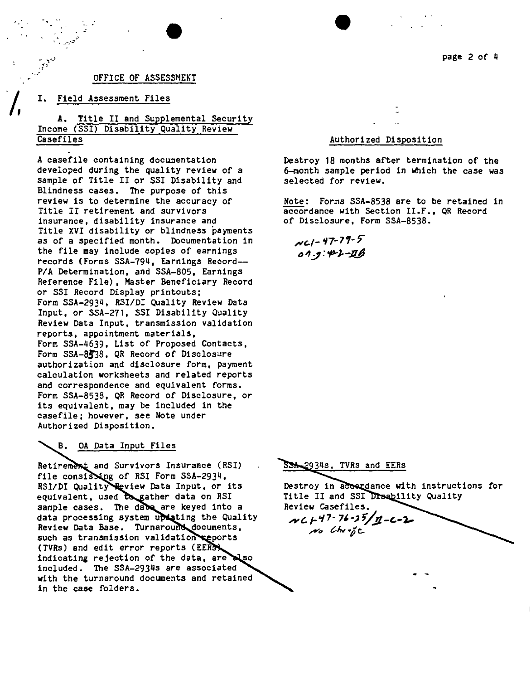

page 2 of 4

# OFFICE OF ASSESSMENT

•

#### I. Field Assessment Files

*.r*

.<br>.<br>.

*.t' -.J*

# A. Title II and Supplemental Security Income (SSI) Disability Quality Review **Casefiles**

A case file containing documentation developed during the quality review of a sample of Title II or SSI Disability and Blindness cases. The purpose of this review is to determine the accuracy of Title II retirement and survivors insurance, disability insurance and Title XVI disability or blindness payments as of a specified month. Documentation in the file may include copies of earnings records (Forms SSA-794, Earnings Record-- *PIA* Determination, and SSA-805, Earnings Reference File), Master Beneficiary Record or SSI Record Display printouts; Form SSA-2934, RSI/DI Quality Review Data Input, or SSA-271, SSI Disability Quality Review Data Input, transmission validation reports, appointment materials, Form SSA-4639, List of Proposed Contacts, Form SSA-8538, QR Record of Disclosure authorization and disclosure form, payment calculation worksheets and related reports and correspondence and equivalent forms. Form SSA-8538, QR Record of Disclosure, or its equivalent, may be included in the casefile; however, see Note under Authorized Disposition.

#### B. OA Data Input Files

Retirement and Survivors Insurance (RSI) file consisting of RSI Form SSA-2934, RSI/DI Quality Review Data Input, or its equivalent, used to gather data on RSI sample cases. The dabe are keyed into a data processing system updating the Quality Review Data Base. Turnaround documents, such as transmission validation reports (TVRs) and edit error reports (EER indicating rejection of the data, are also included. The SSA-2934s are associated with the turnaround documents and retained in the case folders.

### Authorized Disposition

Destroy 18 months after termination of the 6-month sample period in which the case was selected for review.

Note: Forms SSA-8538 are to be retained in accordance with Section II.F., QR Record of Disclosure, Form SSA-8538.

*,lYe-I -* '/7- 7 ,. 7" *<sup>611</sup>* J*:op-).-y*

#### SSA 2934s, TVRs and EERs

Destroy in accordance with instructions for Title II and SSI Disability Quality Review Casefiles. *Ad.I-'n-7"~* **V.Jl-G-).,..** *,...,-" C.1w.p*e.

.-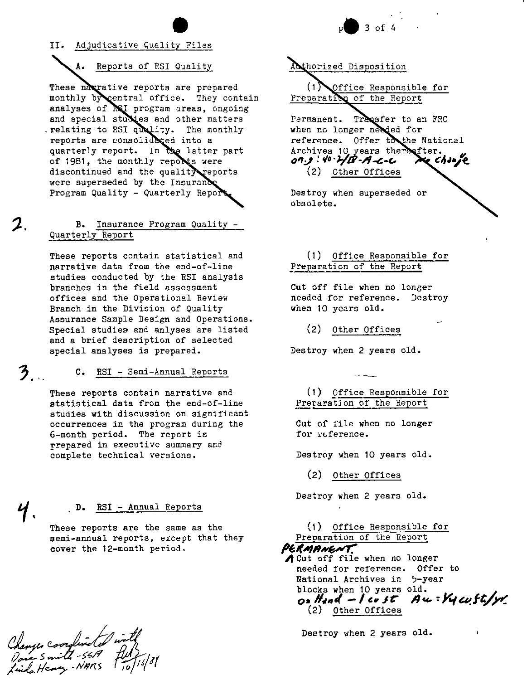#### II. Adjudicative Quality Files

## A. Reports of RSI Quality

These narrative reports are prepared monthly by central office. They contain analyses of Rel program areas, ongoing and special studies and other matters relating to RSI quality. The monthly reports are consolidated into a quarterly report. In the latter part of 1981, the monthly reports were discontinued and the quality reports were superseded by the Insurance Program Quality - Quarterly Report

#### Insurance Program Quality -**B.** Quarterly Report

These reports contain statistical and narrative data from the end-of-line studies conducted by the RSI analysis branches in the field assessment offices and the Operational Review Branch in the Division of Quality Assurance Sample Design and Operations. Special studies and anlyses are listed and a brief description of selected special analyses is prepared.

#### C. RSI - Semi-Annual Reports

These reports contain narrative and statistical data from the end-of-line studies with discussion on significant occurrences in the program during the 6-month period. The report is prepared in executive summary and complete technical versions.

#### RSI - Annual Reports D.

These reports are the same as the semi-annual reports, except that they cover the 12-month period.

Changes Coordinated<br>Pour Smith-5517<br>Linda Henry-NARS

 $3<sub>1</sub>$ 

Acthorized Disposition

 $(1)$ Office Responsible for Preparation of the Report

Permanent. Transfer to an FRC when no longer needed for reference. Offer to the National Archives 10 years there after. G Change 07.9:40.2/B-A-L-L (2) Other Offices

Destroy when superseded or obsolete.

(1) Office Responsible for Preparation of the Report

Cut off file when no longer needed for reference. Destroy when 10 years old.

> $(2)$ Other Offices

Destroy when 2 years old.

(1) Office Responsible for Preparation of the Report

Cut of file when no longer for reference.

Destroy when 10 years old.

(2) Other Offices

Destroy when 2 years old.

(1) Office Responsible for Preparation of the Report PERMANENT. d Cut off file when no longer needed for reference. Offer to National Archives in 5-year blocks when 10 years old. On Hand - I cost Au : Vy cuft/y (2) Other Offices

Destroy when 2 years old.

 $3$  of 4